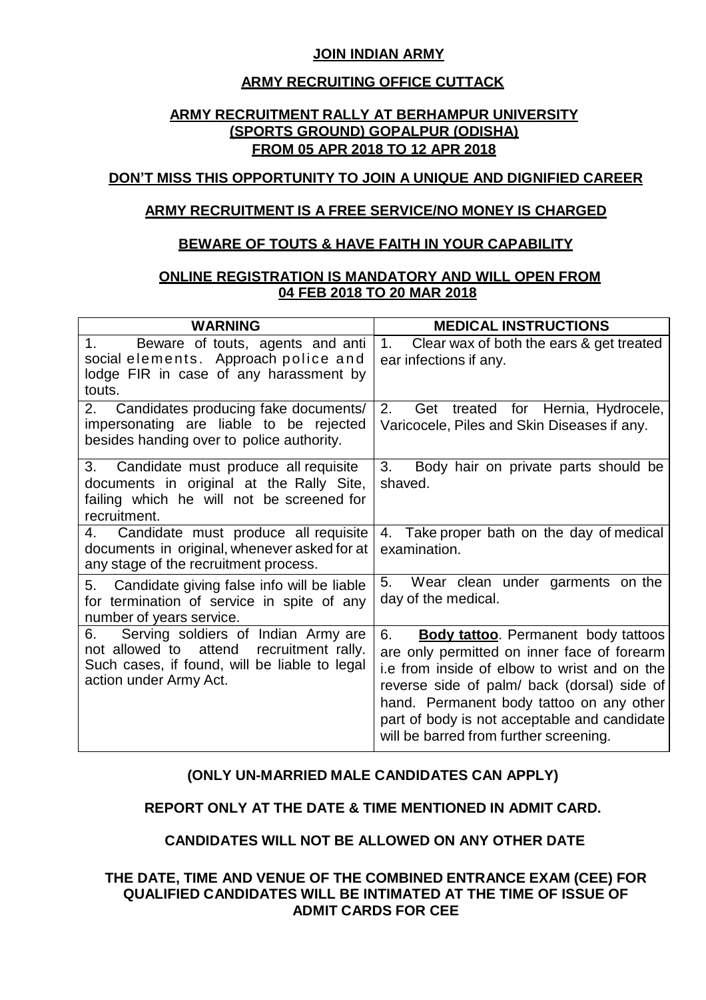# **JOIN INDIAN ARMY**

# **ARMY RECRUITING OFFICE CUTTACK**

# **ARMY RECRUITMENT RALLY AT BERHAMPUR UNIVERSITY (SPORTS GROUND) GOPALPUR (ODISHA) FROM 05 APR 2018 TO 12 APR 2018**

# **DON'T MISS THIS OPPORTUNITY TO JOIN A UNIQUE AND DIGNIFIED CAREER**

### **ARMY RECRUITMENT IS A FREE SERVICE/NO MONEY IS CHARGED**

### **BEWARE OF TOUTS & HAVE FAITH IN YOUR CAPABILITY**

### **ONLINE REGISTRATION IS MANDATORY AND WILL OPEN FROM 04 FEB 2018 TO 20 MAR 2018**

| <b>WARNING</b>                                                                                                                                                   | <b>MEDICAL INSTRUCTIONS</b>                                                                                                                                                                                                                                                                                                           |  |  |
|------------------------------------------------------------------------------------------------------------------------------------------------------------------|---------------------------------------------------------------------------------------------------------------------------------------------------------------------------------------------------------------------------------------------------------------------------------------------------------------------------------------|--|--|
| 1.<br>Beware of touts, agents and anti<br>social elements. Approach police and<br>lodge FIR in case of any harassment by<br>touts.                               | Clear wax of both the ears & get treated<br>1.<br>ear infections if any.                                                                                                                                                                                                                                                              |  |  |
| 2. Candidates producing fake documents/<br>impersonating are liable to be rejected<br>besides handing over to police authority.                                  | Get treated for Hernia, Hydrocele,<br>2.<br>Varicocele, Piles and Skin Diseases if any.                                                                                                                                                                                                                                               |  |  |
| 3. Candidate must produce all requisite<br>documents in original at the Rally Site,<br>failing which he will not be screened for<br>recruitment.                 | Body hair on private parts should be<br>3.<br>shaved.                                                                                                                                                                                                                                                                                 |  |  |
| Candidate must produce all requisite<br>4.<br>documents in original, whenever asked for at<br>any stage of the recruitment process.                              | 4. Take proper bath on the day of medical<br>examination.                                                                                                                                                                                                                                                                             |  |  |
| Candidate giving false info will be liable<br>5.<br>for termination of service in spite of any<br>number of years service.                                       | 5. Wear clean under garments on the<br>day of the medical.                                                                                                                                                                                                                                                                            |  |  |
| Serving soldiers of Indian Army are<br>6.<br>not allowed to attend recruitment rally.<br>Such cases, if found, will be liable to legal<br>action under Army Act. | 6.<br><b>Body tattoo</b> . Permanent body tattoos<br>are only permitted on inner face of forearm<br>i.e from inside of elbow to wrist and on the<br>reverse side of palm/ back (dorsal) side of<br>hand. Permanent body tattoo on any other<br>part of body is not acceptable and candidate<br>will be barred from further screening. |  |  |

### **(ONLY UN-MARRIED MALE CANDIDATES CAN APPLY)**

### **REPORT ONLY AT THE DATE & TIME MENTIONED IN ADMIT CARD.**

# **CANDIDATES WILL NOT BE ALLOWED ON ANY OTHER DATE**

### **THE DATE, TIME AND VENUE OF THE COMBINED ENTRANCE EXAM (CEE) FOR QUALIFIED CANDIDATES WILL BE INTIMATED AT THE TIME OF ISSUE OF ADMIT CARDS FOR CEE**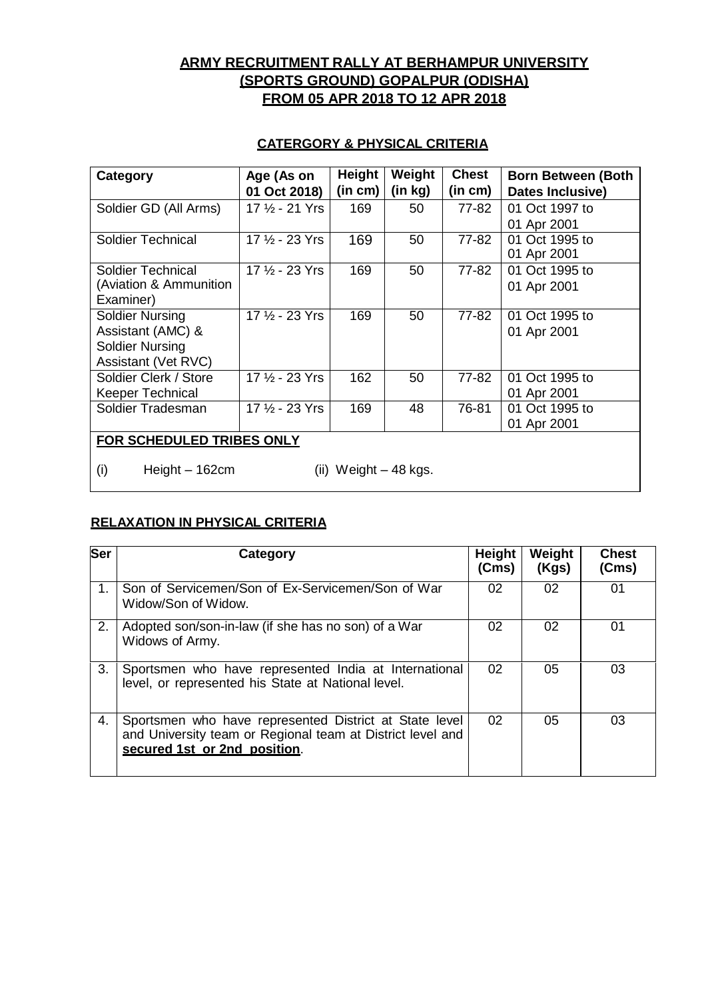# **ARMY RECRUITMENT RALLY AT BERHAMPUR UNIVERSITY (SPORTS GROUND) GOPALPUR (ODISHA) FROM 05 APR 2018 TO 12 APR 2018**

# **CATERGORY & PHYSICAL CRITERIA**

| Category                   | Age (As on                | Height                | Weight  | <b>Chest</b> | <b>Born Between (Both</b> |  |
|----------------------------|---------------------------|-----------------------|---------|--------------|---------------------------|--|
|                            | 01 Oct 2018)              | (in cm)               | (in kg) | (in cm)      | Dates Inclusive)          |  |
| Soldier GD (All Arms)      | 17 1/2 - 21 Yrs           | 169                   | 50      | 77-82        | 01 Oct 1997 to            |  |
|                            |                           |                       |         |              | 01 Apr 2001               |  |
| <b>Soldier Technical</b>   | 17 $\frac{1}{2}$ - 23 Yrs | 169                   | 50      | 77-82        | 01 Oct 1995 to            |  |
|                            |                           |                       |         |              | 01 Apr 2001               |  |
| Soldier Technical          | 17 1/2 - 23 Yrs           | 169                   | 50      | 77-82        | 01 Oct 1995 to            |  |
| (Aviation & Ammunition     |                           |                       |         |              | 01 Apr 2001               |  |
| Examiner)                  |                           |                       |         |              |                           |  |
| <b>Soldier Nursing</b>     | 17 $\frac{1}{2}$ - 23 Yrs | 169                   | 50      | 77-82        | 01 Oct 1995 to            |  |
| Assistant (AMC) &          |                           |                       |         |              | 01 Apr 2001               |  |
| <b>Soldier Nursing</b>     |                           |                       |         |              |                           |  |
| <b>Assistant (Vet RVC)</b> |                           |                       |         |              |                           |  |
| Soldier Clerk / Store      | 17 1/2 - 23 Yrs           | 162                   | 50      | 77-82        | 01 Oct 1995 to            |  |
| <b>Keeper Technical</b>    |                           |                       |         |              | 01 Apr 2001               |  |
| Soldier Tradesman          | 17 $\frac{1}{2}$ - 23 Yrs | 169                   | 48      | 76-81        | 01 Oct 1995 to            |  |
|                            |                           |                       |         |              | 01 Apr 2001               |  |
| FOR SCHEDULED TRIBES ONLY  |                           |                       |         |              |                           |  |
|                            |                           |                       |         |              |                           |  |
| (i)<br>Height - 162cm      |                           | (ii) Weight – 48 kgs. |         |              |                           |  |

### **RELAXATION IN PHYSICAL CRITERIA**

| Ser | Category                                                                                                                                             | Height<br>(Cms) | Weight<br>(Kgs) | <b>Chest</b><br>(Cms) |
|-----|------------------------------------------------------------------------------------------------------------------------------------------------------|-----------------|-----------------|-----------------------|
| 1.  | Son of Servicemen/Son of Ex-Servicemen/Son of War<br>Widow/Son of Widow.                                                                             | 02              | 02              | 01                    |
| 2.  | Adopted son/son-in-law (if she has no son) of a War<br>Widows of Army.                                                                               | 02              | 02              | 01                    |
| 3.  | Sportsmen who have represented India at International<br>level, or represented his State at National level.                                          | 02              | 05              | 03                    |
| 4.  | Sportsmen who have represented District at State level<br>and University team or Regional team at District level and<br>secured 1st or 2nd position. | 02              | 05              | 03                    |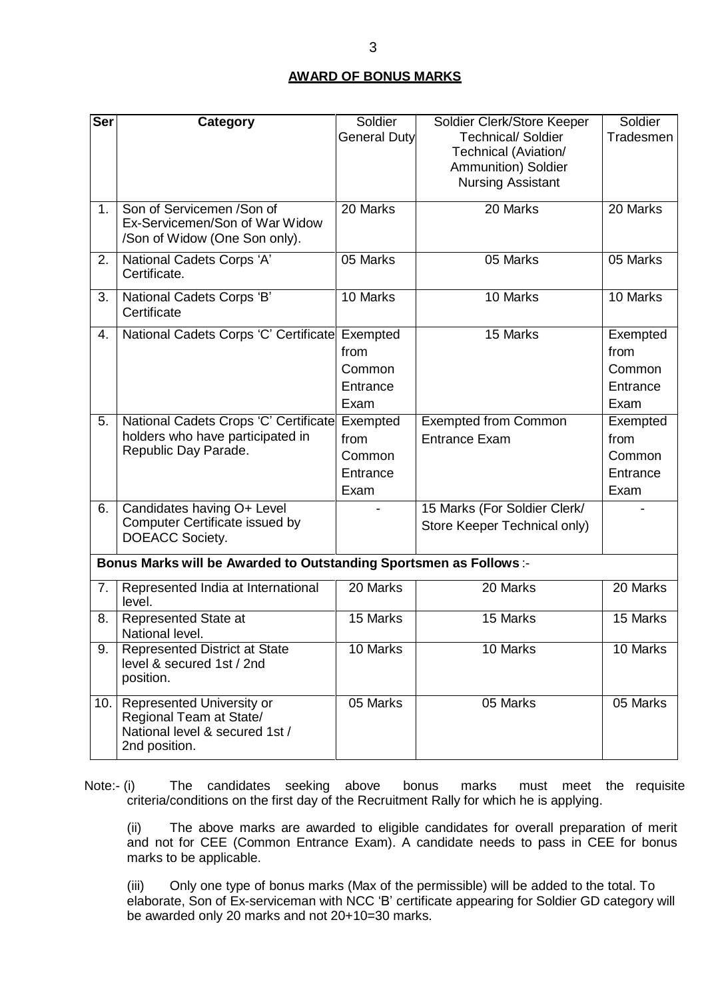#### **AWARD OF BONUS MARKS**

| <b>Ser</b>     | <b>Category</b>                                                                                         | Soldier<br><b>General Duty</b>                 | Soldier Clerk/Store Keeper<br><b>Technical/ Soldier</b>                 | Soldier<br>Tradesmen                           |
|----------------|---------------------------------------------------------------------------------------------------------|------------------------------------------------|-------------------------------------------------------------------------|------------------------------------------------|
|                |                                                                                                         |                                                | Technical (Aviation/<br>Ammunition) Soldier<br><b>Nursing Assistant</b> |                                                |
| 1 <sub>1</sub> | Son of Servicemen /Son of<br>Ex-Servicemen/Son of War Widow<br>/Son of Widow (One Son only).            | 20 Marks                                       | 20 Marks                                                                | 20 Marks                                       |
| 2.             | National Cadets Corps 'A'<br>Certificate.                                                               | 05 Marks                                       | 05 Marks                                                                | 05 Marks                                       |
| 3.             | National Cadets Corps 'B'<br>Certificate                                                                | 10 Marks                                       | 10 Marks                                                                | 10 Marks                                       |
| 4.             | National Cadets Corps 'C' Certificate                                                                   | Exempted<br>from<br>Common<br>Entrance<br>Exam | 15 Marks                                                                | Exempted<br>from<br>Common<br>Entrance<br>Exam |
| 5.             | National Cadets Crops 'C' Certificate<br>holders who have participated in<br>Republic Day Parade.       | Exempted<br>from<br>Common<br>Entrance<br>Exam | <b>Exempted from Common</b><br><b>Entrance Exam</b>                     | Exempted<br>from<br>Common<br>Entrance<br>Exam |
| 6.             | Candidates having O+ Level<br>Computer Certificate issued by<br>DOEACC Society.                         |                                                | 15 Marks (For Soldier Clerk/<br>Store Keeper Technical only)            |                                                |
|                | Bonus Marks will be Awarded to Outstanding Sportsmen as Follows :-                                      |                                                |                                                                         |                                                |
| 7.             | Represented India at International<br>level.                                                            | 20 Marks                                       | 20 Marks                                                                | 20 Marks                                       |
| 8.             | <b>Represented State at</b><br>National level.                                                          | 15 Marks                                       | 15 Marks                                                                | 15 Marks                                       |
| 9.             | <b>Represented District at State</b><br>level & secured 1st / 2nd<br>position.                          | 10 Marks                                       | 10 Marks                                                                | 10 Marks                                       |
| 10.            | Represented University or<br>Regional Team at State/<br>National level & secured 1st /<br>2nd position. | 05 Marks                                       | 05 Marks                                                                | 05 Marks                                       |

Note:- (i) The candidates seeking above bonus marks must meet the requisite criteria/conditions on the first day of the Recruitment Rally for which he is applying.

(ii) The above marks are awarded to eligible candidates for overall preparation of merit and not for CEE (Common Entrance Exam). A candidate needs to pass in CEE for bonus marks to be applicable.

(iii) Only one type of bonus marks (Max of the permissible) will be added to the total. To elaborate, Son of Ex-serviceman with NCC 'B' certificate appearing for Soldier GD category will be awarded only 20 marks and not 20+10=30 marks.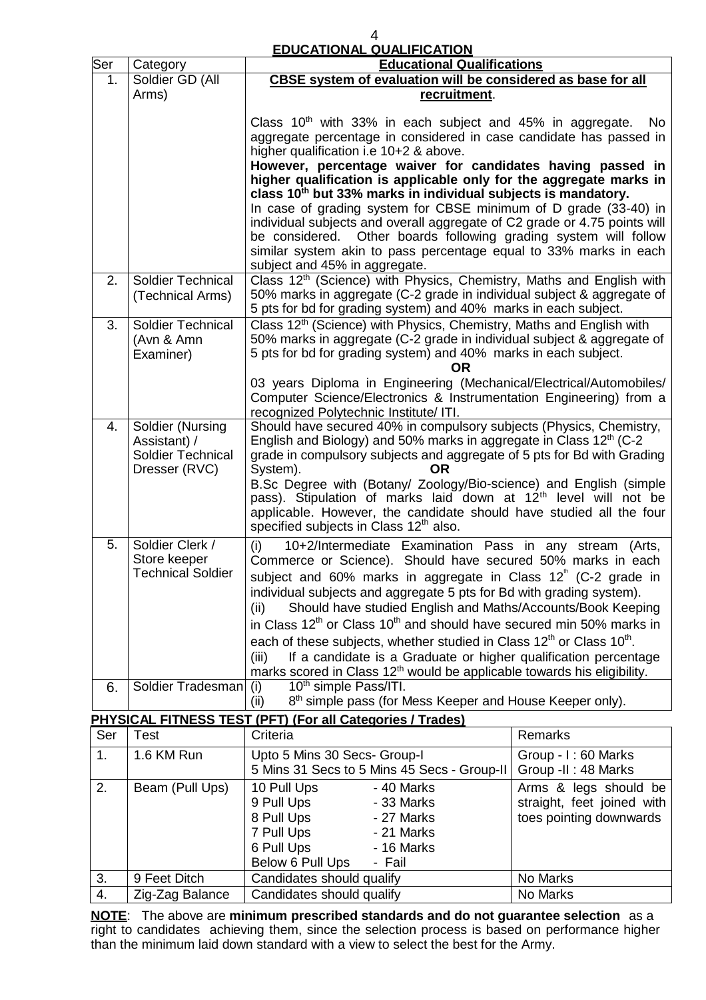# **EDUCATIONAL QUALIFICATION**

|     | <u>EDUCATIONAL QUALIFICATION</u>              |                                                                                                                                           |                                                       |  |  |  |  |
|-----|-----------------------------------------------|-------------------------------------------------------------------------------------------------------------------------------------------|-------------------------------------------------------|--|--|--|--|
| Ser | <b>Educational Qualifications</b><br>Category |                                                                                                                                           |                                                       |  |  |  |  |
| 1.  | Soldier GD (All<br>Arms)                      | CBSE system of evaluation will be considered as base for all                                                                              |                                                       |  |  |  |  |
|     |                                               | recruitment.                                                                                                                              |                                                       |  |  |  |  |
|     |                                               | Class $10th$ with 33% in each subject and 45% in aggregate.                                                                               | No                                                    |  |  |  |  |
|     |                                               | aggregate percentage in considered in case candidate has passed in                                                                        |                                                       |  |  |  |  |
|     |                                               | higher qualification i.e 10+2 & above.                                                                                                    |                                                       |  |  |  |  |
|     |                                               | However, percentage waiver for candidates having passed in                                                                                |                                                       |  |  |  |  |
|     |                                               | higher qualification is applicable only for the aggregate marks in                                                                        |                                                       |  |  |  |  |
|     |                                               | class 10 <sup>th</sup> but 33% marks in individual subjects is mandatory.                                                                 |                                                       |  |  |  |  |
|     |                                               | In case of grading system for CBSE minimum of D grade (33-40) in                                                                          |                                                       |  |  |  |  |
|     |                                               | individual subjects and overall aggregate of C2 grade or 4.75 points will                                                                 |                                                       |  |  |  |  |
|     |                                               | be considered. Other boards following grading system will follow                                                                          |                                                       |  |  |  |  |
|     |                                               | similar system akin to pass percentage equal to 33% marks in each                                                                         |                                                       |  |  |  |  |
| 2.  | Soldier Technical                             | subject and 45% in aggregate.<br>Class 12 <sup>th</sup> (Science) with Physics, Chemistry, Maths and English with                         |                                                       |  |  |  |  |
|     | (Technical Arms)                              |                                                                                                                                           |                                                       |  |  |  |  |
|     |                                               | 50% marks in aggregate (C-2 grade in individual subject & aggregate of<br>5 pts for bd for grading system) and 40% marks in each subject. |                                                       |  |  |  |  |
| 3.  | <b>Soldier Technical</b>                      | Class 12 <sup>th</sup> (Science) with Physics, Chemistry, Maths and English with                                                          |                                                       |  |  |  |  |
|     | (Avn & Amn                                    | 50% marks in aggregate (C-2 grade in individual subject & aggregate of                                                                    |                                                       |  |  |  |  |
|     | Examiner)                                     | 5 pts for bd for grading system) and 40% marks in each subject.                                                                           |                                                       |  |  |  |  |
|     |                                               | OR                                                                                                                                        |                                                       |  |  |  |  |
|     |                                               | 03 years Diploma in Engineering (Mechanical/Electrical/Automobiles/                                                                       |                                                       |  |  |  |  |
|     |                                               | Computer Science/Electronics & Instrumentation Engineering) from a                                                                        |                                                       |  |  |  |  |
|     |                                               | recognized Polytechnic Institute/ ITI.                                                                                                    |                                                       |  |  |  |  |
| 4.  | Soldier (Nursing                              | Should have secured 40% in compulsory subjects (Physics, Chemistry,                                                                       |                                                       |  |  |  |  |
|     | Assistant) /                                  | English and Biology) and 50% marks in aggregate in Class $12th$ (C-2                                                                      |                                                       |  |  |  |  |
|     | Soldier Technical                             | grade in compulsory subjects and aggregate of 5 pts for Bd with Grading<br>OR                                                             |                                                       |  |  |  |  |
|     | Dresser (RVC)                                 | System).<br>B.Sc Degree with (Botany/ Zoology/Bio-science) and English (simple                                                            |                                                       |  |  |  |  |
|     |                                               | pass). Stipulation of marks laid down at 12 <sup>th</sup> level will not be                                                               |                                                       |  |  |  |  |
|     |                                               | applicable. However, the candidate should have studied all the four                                                                       |                                                       |  |  |  |  |
|     |                                               | specified subjects in Class 12 <sup>th</sup> also.                                                                                        |                                                       |  |  |  |  |
| 5.  | Soldier Clerk /                               | (i)<br>10+2/Intermediate Examination Pass in any stream (Arts,                                                                            |                                                       |  |  |  |  |
|     | Store keeper                                  | Commerce or Science). Should have secured 50% marks in each                                                                               |                                                       |  |  |  |  |
|     | <b>Technical Soldier</b>                      | subject and 60% marks in aggregate in Class 12 <sup>th</sup> (C-2 grade in                                                                |                                                       |  |  |  |  |
|     |                                               | individual subjects and aggregate 5 pts for Bd with grading system).                                                                      |                                                       |  |  |  |  |
|     |                                               | Should have studied English and Maths/Accounts/Book Keeping<br>(ii)                                                                       |                                                       |  |  |  |  |
|     |                                               | in Class $12th$ or Class $10th$ and should have secured min 50% marks in                                                                  |                                                       |  |  |  |  |
|     |                                               | each of these subjects, whether studied in Class 12 <sup>th</sup> or Class 10 <sup>th</sup> .                                             |                                                       |  |  |  |  |
|     |                                               | If a candidate is a Graduate or higher qualification percentage<br>(iii)                                                                  |                                                       |  |  |  |  |
|     |                                               | marks scored in Class 12 <sup>th</sup> would be applicable towards his eligibility.                                                       |                                                       |  |  |  |  |
| 6.  | Soldier Tradesman                             | 10 <sup>th</sup> simple Pass/ITI.<br>(i)                                                                                                  |                                                       |  |  |  |  |
|     |                                               | 8 <sup>th</sup> simple pass (for Mess Keeper and House Keeper only).<br>(ii)                                                              |                                                       |  |  |  |  |
|     |                                               | <b>PHYSICAL FITNESS TEST (PFT) (For all Categories / Trades)</b>                                                                          |                                                       |  |  |  |  |
| Ser | <b>Test</b>                                   | Criteria                                                                                                                                  | Remarks                                               |  |  |  |  |
| 1.  | 1.6 KM Run                                    | Upto 5 Mins 30 Secs- Group-I<br>5 Mins 31 Secs to 5 Mins 45 Secs - Group-II                                                               | Group - I: 60 Marks<br>Group -II: 48 Marks            |  |  |  |  |
|     |                                               |                                                                                                                                           |                                                       |  |  |  |  |
| 2.  | Beam (Pull Ups)                               | - 40 Marks<br>10 Pull Ups<br>9 Pull Ups<br>- 33 Marks                                                                                     | Arms & legs should be                                 |  |  |  |  |
|     |                                               | 8 Pull Ups<br>- 27 Marks                                                                                                                  | straight, feet joined with<br>toes pointing downwards |  |  |  |  |
|     |                                               | 7 Pull Ups<br>- 21 Marks                                                                                                                  |                                                       |  |  |  |  |
|     |                                               | 6 Pull Ups<br>- 16 Marks                                                                                                                  |                                                       |  |  |  |  |
|     |                                               | Below 6 Pull Ups<br>- Fail                                                                                                                |                                                       |  |  |  |  |
| 3.  | 9 Feet Ditch                                  | Candidates should qualify                                                                                                                 | No Marks                                              |  |  |  |  |
| 4.  | Zig-Zag Balance                               | Candidates should qualify                                                                                                                 | No Marks                                              |  |  |  |  |

**NOTE**: The above are **minimum prescribed standards and do not guarantee selection** as a right to candidates achieving them, since the selection process is based on performance higher than the minimum laid down standard with a view to select the best for the Army.

4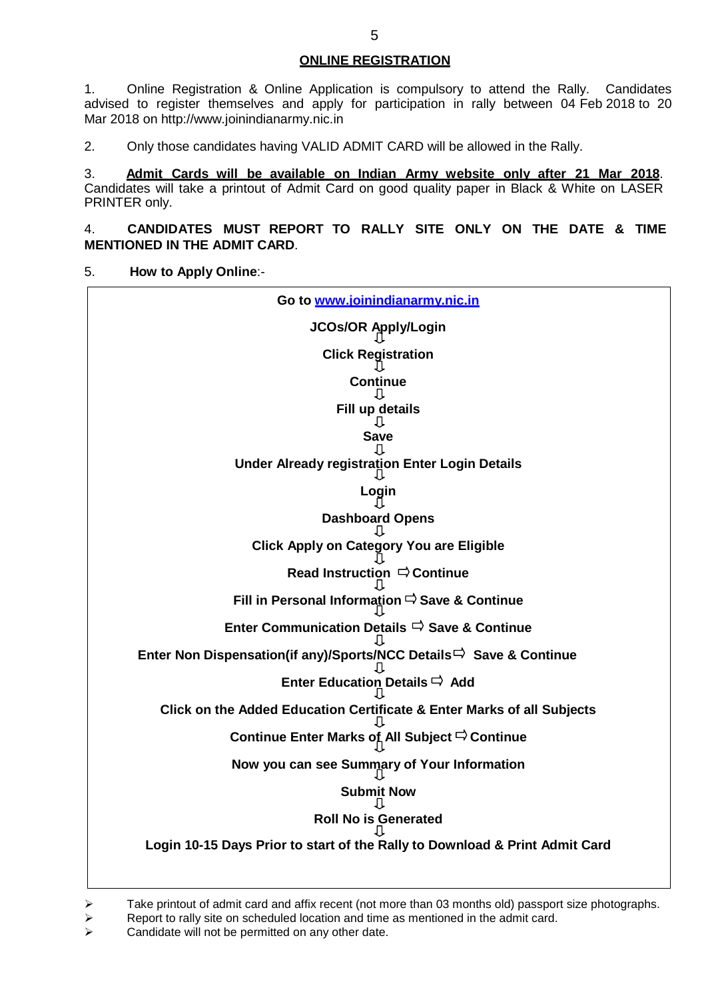#### **ONLINE REGISTRATION**

1. Online Registration & Online Application is compulsory to attend the Rally. Candidates advised to register themselves and apply for participation in rally between 04 Feb 2018 to 20 Mar 2018 on [http://www.joinindianarmy.nic.in](http://www.joinindianarmy.nic.in/)

2. Only those candidates having VALID ADMIT CARD will be allowed in the Rally.

3. **Admit Cards will be available on Indian Army website only after 21 Mar 2018**. Candidates will take a printout of Admit Card on good quality paper in Black & White on LASER PRINTER only.

#### 4. **CANDIDATES MUST REPORT TO RALLY SITE ONLY ON THE DATE & TIME MENTIONED IN THE ADMIT CARD**.

5. **How to Apply Online**:-



Take printout of admit card and affix recent (not more than 03 months old) passport size photographs.

 $\triangleright$  Report to rally site on scheduled location and time as mentioned in the admit card.

Candidate will not be permitted on any other date.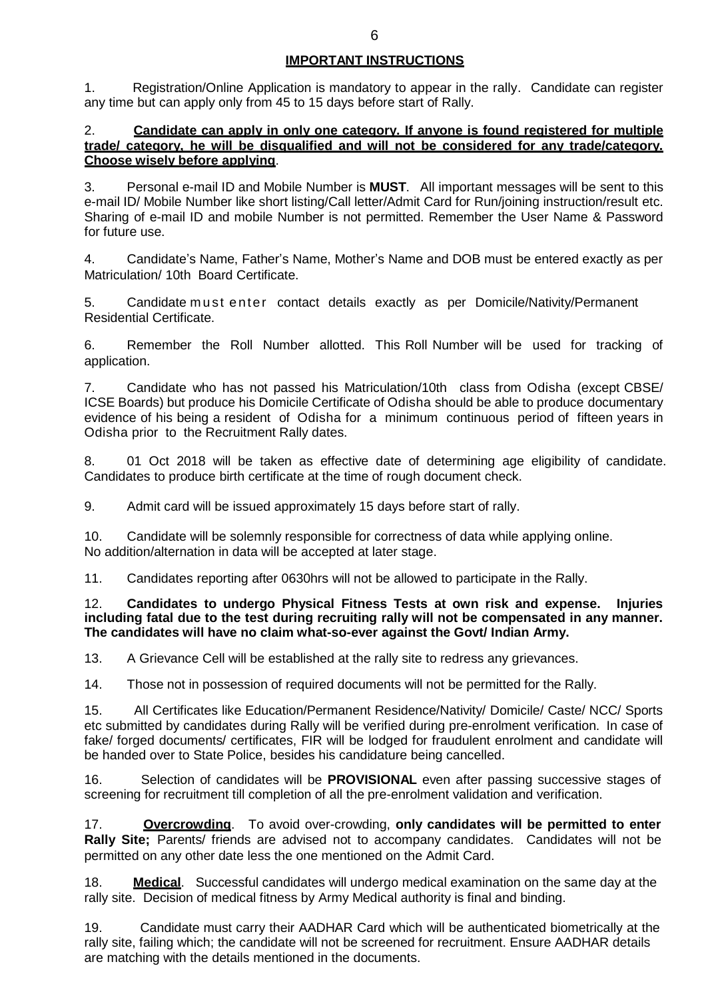## **IMPORTANT INSTRUCTIONS**

1. Registration/Online Application is mandatory to appear in the rally. Candidate can register any time but can apply only from 45 to 15 days before start of Rally.

#### 2. **Candidate can apply in only one category. If anyone is found registered for multiple trade/ category, he will be disqualified and will not be considered for any trade/category. Choose wisely before applying**.

3. Personal e-mail ID and Mobile Number is **MUST**. All important messages will be sent to this e-mail ID/ Mobile Number like short listing/Call letter/Admit Card for Run/joining instruction/result etc. Sharing of e-mail ID and mobile Number is not permitted. Remember the User Name & Password for future use.

4. Candidate's Name, Father's Name, Mother's Name and DOB must be entered exactly as per Matriculation/ 10th Board Certificate.

5. Candidate m u st e nter contact details exactly as per Domicile/Nativity/Permanent Residential Certificate.

6. Remember the Roll Number allotted. This Roll Number will be used for tracking of application.

7. Candidate who has not passed his Matriculation/10th class from Odisha (except CBSE/ ICSE Boards) but produce his Domicile Certificate of Odisha should be able to produce documentary evidence of his being a resident of Odisha for a minimum continuous period of fifteen years in Odisha prior to the Recruitment Rally dates.

8. 01 Oct 2018 will be taken as effective date of determining age eligibility of candidate. Candidates to produce birth certificate at the time of rough document check.

9. Admit card will be issued approximately 15 days before start of rally.

10. Candidate will be solemnly responsible for correctness of data while applying online. No addition/alternation in data will be accepted at later stage.

11. Candidates reporting after 0630hrs will not be allowed to participate in the Rally.

12. **Candidates to undergo Physical Fitness Tests at own risk and expense. Injuries including fatal due to the test during recruiting rally will not be compensated in any manner. The candidates will have no claim what-so-ever against the Govt/ Indian Army.**

13. A Grievance Cell will be established at the rally site to redress any grievances.

14. Those not in possession of required documents will not be permitted for the Rally.

15. All Certificates like Education/Permanent Residence/Nativity/ Domicile/ Caste/ NCC/ Sports etc submitted by candidates during Rally will be verified during pre-enrolment verification. In case of fake/ forged documents/ certificates, FIR will be lodged for fraudulent enrolment and candidate will be handed over to State Police, besides his candidature being cancelled.

16. Selection of candidates will be **PROVISIONAL** even after passing successive stages of screening for recruitment till completion of all the pre-enrolment validation and verification.

17. **Overcrowding**. To avoid over-crowding, **only candidates will be permitted to enter Rally Site;** Parents/ friends are advised not to accompany candidates. Candidates will not be permitted on any other date less the one mentioned on the Admit Card.

18. **Medical**. Successful candidates will undergo medical examination on the same day at the rally site. Decision of medical fitness by Army Medical authority is final and binding.

19. Candidate must carry their AADHAR Card which will be authenticated biometrically at the rally site, failing which; the candidate will not be screened for recruitment. Ensure AADHAR details are matching with the details mentioned in the documents.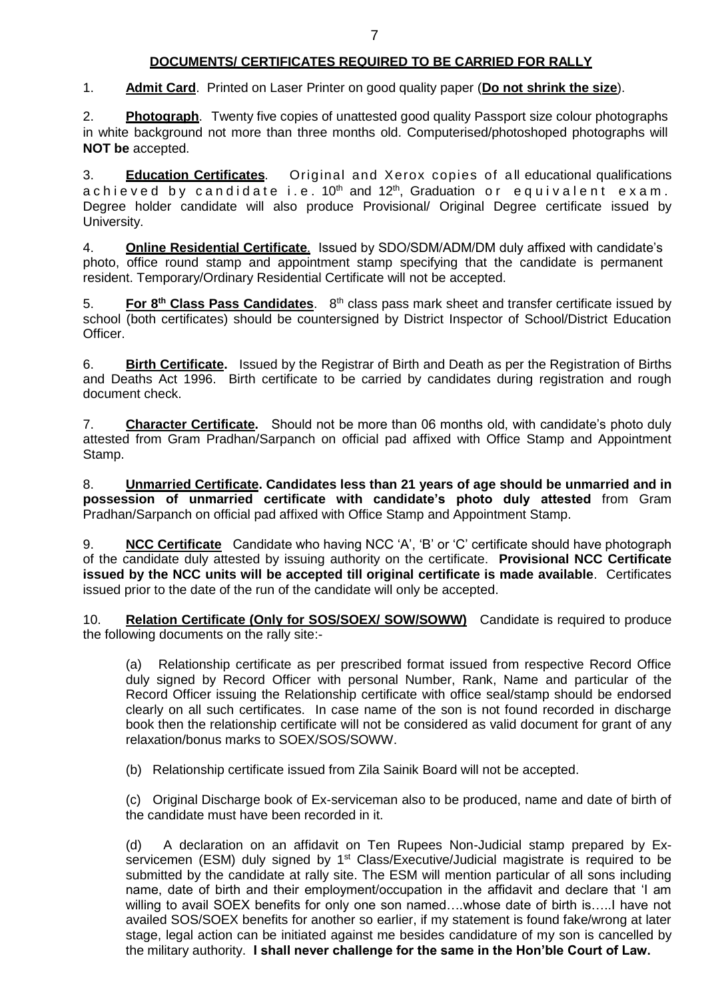### **DOCUMENTS/ CERTIFICATES REQUIRED TO BE CARRIED FOR RALLY**

1. **Admit Card**. Printed on Laser Printer on good quality paper (**Do not shrink the size**).

2. **Photograph**. Twenty five copies of unattested good quality Passport size colour photographs in white background not more than three months old. Computerised/photoshoped photographs will **NOT be** accepted.

3. **Education Certificates**. Original and Xerox copies of a ll educational qualifications achieved by candidate i.e. 10<sup>th</sup> and 12<sup>th</sup>, Graduation or equivalent exam. Degree holder candidate will also produce Provisional/ Original Degree certificate issued by University.

4. **Online Residential Certificate**. Issued by SDO/SDM/ADM/DM duly affixed with candidate's photo, office round stamp and appointment stamp specifying that the candidate is permanent resident. Temporary/Ordinary Residential Certificate will not be accepted.

5. **For 8th Class Pass Candidates**. 8 th class pass mark sheet and transfer certificate issued by school (both certificates) should be countersigned by District Inspector of School/District Education Officer.

6. **Birth Certificate.** Issued by the Registrar of Birth and Death as per the Registration of Births and Deaths Act 1996. Birth certificate to be carried by candidates during registration and rough document check.

7. **Character Certificate.** Should not be more than 06 months old, with candidate's photo duly attested from Gram Pradhan/Sarpanch on official pad affixed with Office Stamp and Appointment Stamp.

8. **Unmarried Certificate. Candidates less than 21 years of age should be unmarried and in possession of unmarried certificate with candidate's photo duly attested** from Gram Pradhan/Sarpanch on official pad affixed with Office Stamp and Appointment Stamp.

9. **NCC Certificate** Candidate who having NCC 'A', 'B' or 'C' certificate should have photograph of the candidate duly attested by issuing authority on the certificate. **Provisional NCC Certificate issued by the NCC units will be accepted till original certificate is made available**. Certificates issued prior to the date of the run of the candidate will only be accepted.

10. **Relation Certificate (Only for SOS/SOEX/ SOW/SOWW)** Candidate is required to produce the following documents on the rally site:-

(a) Relationship certificate as per prescribed format issued from respective Record Office duly signed by Record Officer with personal Number, Rank, Name and particular of the Record Officer issuing the Relationship certificate with office seal/stamp should be endorsed clearly on all such certificates. In case name of the son is not found recorded in discharge book then the relationship certificate will not be considered as valid document for grant of any relaxation/bonus marks to SOEX/SOS/SOWW.

(b) Relationship certificate issued from Zila Sainik Board will not be accepted.

(c) Original Discharge book of Ex-serviceman also to be produced, name and date of birth of the candidate must have been recorded in it.

(d) A declaration on an affidavit on Ten Rupees Non-Judicial stamp prepared by Exservicemen (ESM) duly signed by 1<sup>st</sup> Class/Executive/Judicial magistrate is required to be submitted by the candidate at rally site. The ESM will mention particular of all sons including name, date of birth and their employment/occupation in the affidavit and declare that 'I am willing to avail SOEX benefits for only one son named….whose date of birth is…..I have not availed SOS/SOEX benefits for another so earlier, if my statement is found fake/wrong at later stage, legal action can be initiated against me besides candidature of my son is cancelled by the military authority. **I shall never challenge for the same in the Hon'ble Court of Law.**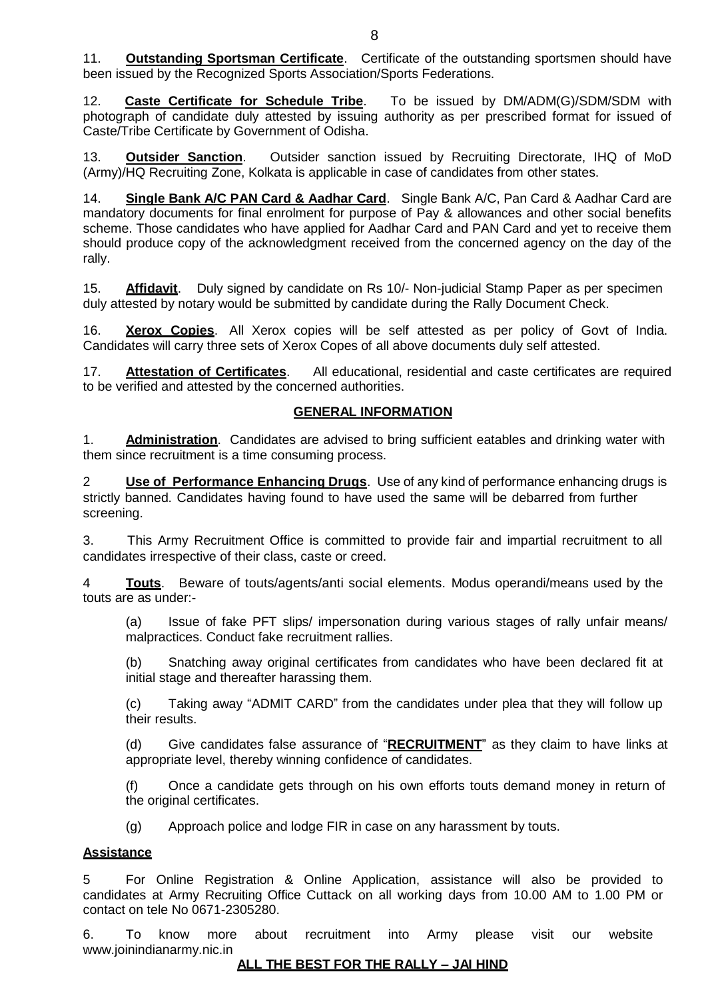12. **Caste Certificate for Schedule Tribe**. To be issued by DM/ADM(G)/SDM/SDM with photograph of candidate duly attested by issuing authority as per prescribed format for issued of Caste/Tribe Certificate by Government of Odisha.

13. **Outsider Sanction**. Outsider sanction issued by Recruiting Directorate, IHQ of MoD (Army)/HQ Recruiting Zone, Kolkata is applicable in case of candidates from other states.

14. **Single Bank A/C PAN Card & Aadhar Card**. Single Bank A/C, Pan Card & Aadhar Card are mandatory documents for final enrolment for purpose of Pay & allowances and other social benefits scheme. Those candidates who have applied for Aadhar Card and PAN Card and yet to receive them should produce copy of the acknowledgment received from the concerned agency on the day of the rally.

15. **Affidavit**. Duly signed by candidate on Rs 10/- Non-judicial Stamp Paper as per specimen duly attested by notary would be submitted by candidate during the Rally Document Check.

16. **Xerox Copies**. All Xerox copies will be self attested as per policy of Govt of India. Candidates will carry three sets of Xerox Copes of all above documents duly self attested.

17. **Attestation of Certificates**. All educational, residential and caste certificates are required to be verified and attested by the concerned authorities.

#### **GENERAL INFORMATION**

1. **Administration**. Candidates are advised to bring sufficient eatables and drinking water with them since recruitment is a time consuming process.

2 **Use of Performance Enhancing Drugs**. Use of any kind of performance enhancing drugs is strictly banned. Candidates having found to have used the same will be debarred from further screening.

3. This Army Recruitment Office is committed to provide fair and impartial recruitment to all candidates irrespective of their class, caste or creed.

4 **Touts**. Beware of touts/agents/anti social elements. Modus operandi/means used by the touts are as under:-

(a) Issue of fake PFT slips/ impersonation during various stages of rally unfair means/ malpractices. Conduct fake recruitment rallies.

(b) Snatching away original certificates from candidates who have been declared fit at initial stage and thereafter harassing them.

(c) Taking away "ADMIT CARD" from the candidates under plea that they will follow up their results.

(d) Give candidates false assurance of "**RECRUITMENT**" as they claim to have links at appropriate level, thereby winning confidence of candidates.

(f) Once a candidate gets through on his own efforts touts demand money in return of the original certificates.

(g) Approach police and lodge FIR in case on any harassment by touts.

#### **Assistance**

5 For Online Registration & Online Application, assistance will also be provided to candidates at Army Recruiting Office Cuttack on all working days from 10.00 AM to 1.00 PM or contact on tele No 0671-2305280.

6. To know more about recruitment into Army please visit our websit[e](http://www.joinindianarmy.nic.in/) [www.joinindianarmy.nic.in](http://www.joinindianarmy.nic.in/)

#### **ALL THE BEST FOR THE RALLY – JAI HIND**